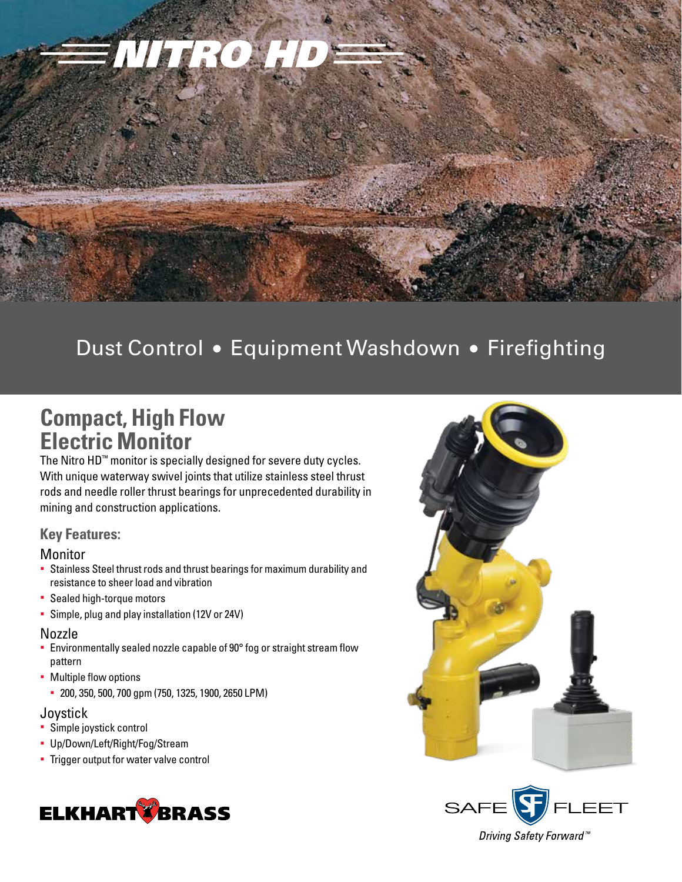

# Dust Control • Equipment Washdown • Firefighting

## **Compact, High Flow Electric Monitor**

The Nitro HD™ monitor is specially designed for severe duty cycles. With unique waterway swivel joints that utilize stainless steel thrust rods and needle roller thrust bearings for unprecedented durability in mining and construction applications.

## **Key Features:**

### **Monitor**

- § Stainless Steel thrust rods and thrust bearings for maximum durability and resistance to sheer load and vibration
- § Sealed high-torque motors
- Simple, plug and play installation (12V or 24V)

### Nozzle

- § Environmentally sealed nozzle capable of 90° fog or straight stream flow pattern
- Multiple flow options
	- § 200, 350, 500, 700 gpm (750, 1325, 1900, 2650 LPM)

### **Joystick**

- § Simple joystick control
- § Up/Down/Left/Right/Fog/Stream
- **Trigger output for water valve control**







Driving Safety Forward<sup>™</sup>